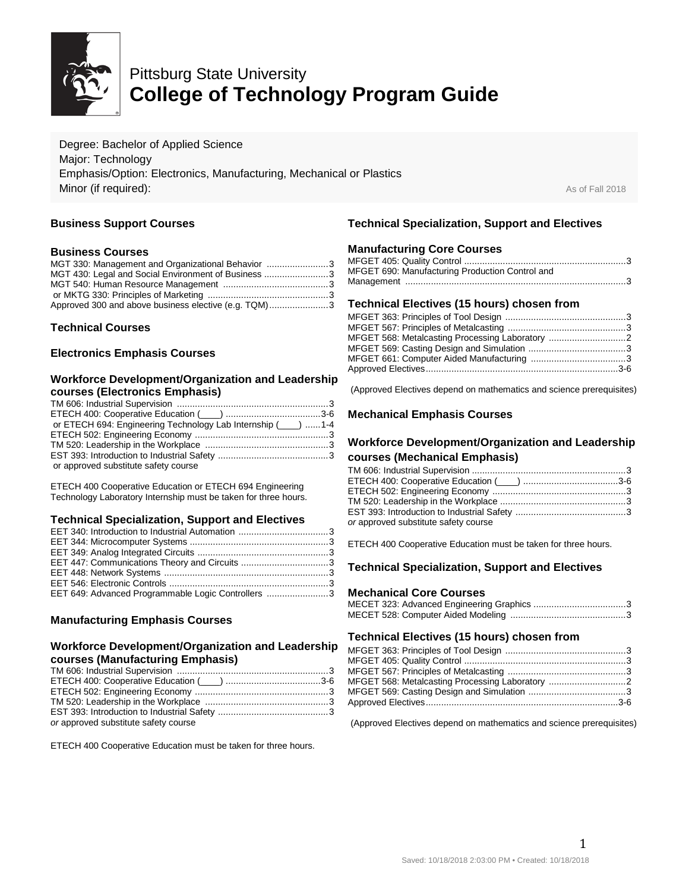

# Pittsburg State University **College of Technology Program Guide**

Degree: Bachelor of Applied Science Major: Technology Emphasis/Option: Electronics, Manufacturing, Mechanical or Plastics **Minor (if required):** As of Fall 2018

## **Business Support Courses**

#### **Business Courses**

| MGT 330: Management and Organizational Behavior 3    |  |
|------------------------------------------------------|--|
| MGT 430: Legal and Social Environment of Business 3  |  |
|                                                      |  |
|                                                      |  |
| Approved 300 and above business elective (e.g. TQM)3 |  |

#### **Technical Courses**

#### **Electronics Emphasis Courses**

#### **Workforce Development/Organization and Leadership courses (Electronics Emphasis)**

| or ETECH 694: Engineering Technology Lab Internship (___) 1-4 |  |
|---------------------------------------------------------------|--|
|                                                               |  |
|                                                               |  |
|                                                               |  |
| or approved substitute safety course                          |  |

ETECH 400 Cooperative Education or ETECH 694 Engineering Technology Laboratory Internship must be taken for three hours.

#### **Technical Specialization, Support and Electives**

| EET 649: Advanced Programmable Logic Controllers 3 |  |
|----------------------------------------------------|--|

# **Manufacturing Emphasis Courses**

#### **Workforce Development/Organization and Leadership courses (Manufacturing Emphasis)**

| or approved substitute safety course |  |
|--------------------------------------|--|

ETECH 400 Cooperative Education must be taken for three hours.

## **Technical Specialization, Support and Electives**

#### **Manufacturing Core Courses**

| MFGET 690: Manufacturing Production Control and |  |
|-------------------------------------------------|--|
|                                                 |  |

#### **Technical Electives (15 hours) chosen from**

| MFGET 568: Metalcasting Processing Laboratory |  |
|-----------------------------------------------|--|
|                                               |  |
|                                               |  |
|                                               |  |
|                                               |  |

(Approved Electives depend on mathematics and science prerequisites)

#### **Mechanical Emphasis Courses**

# **Workforce Development/Organization and Leadership**

#### **courses (Mechanical Emphasis)**

| ETECH 400: Cooperative Education (Collection material and 3-6 |  |
|---------------------------------------------------------------|--|
|                                                               |  |
|                                                               |  |
|                                                               |  |
| or approved substitute safety course                          |  |
|                                                               |  |

ETECH 400 Cooperative Education must be taken for three hours.

# **Technical Specialization, Support and Electives**

#### **Mechanical Core Courses**

#### **Technical Electives (15 hours) chosen from**

| MFGET 568: Metalcasting Processing Laboratory |  |
|-----------------------------------------------|--|
|                                               |  |
|                                               |  |
|                                               |  |

(Approved Electives depend on mathematics and science prerequisites)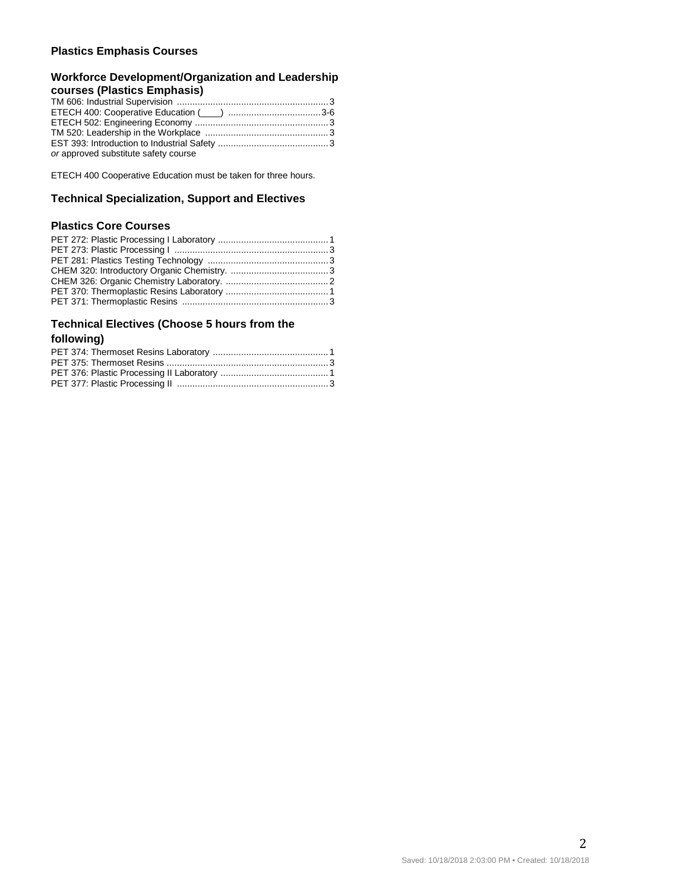#### **Plastics Emphasis Courses**

#### **Workforce Development/Organization and Leadership courses (Plastics Emphasis)**

| ETECH 400: Cooperative Education (intermal manufacture 3-6 |  |
|------------------------------------------------------------|--|
|                                                            |  |
|                                                            |  |
|                                                            |  |
| or approved substitute safety course                       |  |

ETECH 400 Cooperative Education must be taken for three hours.

#### **Technical Specialization, Support and Electives**

# **Plastics Core Courses**

# **Technical Electives (Choose 5 hours from the**

#### **following)**